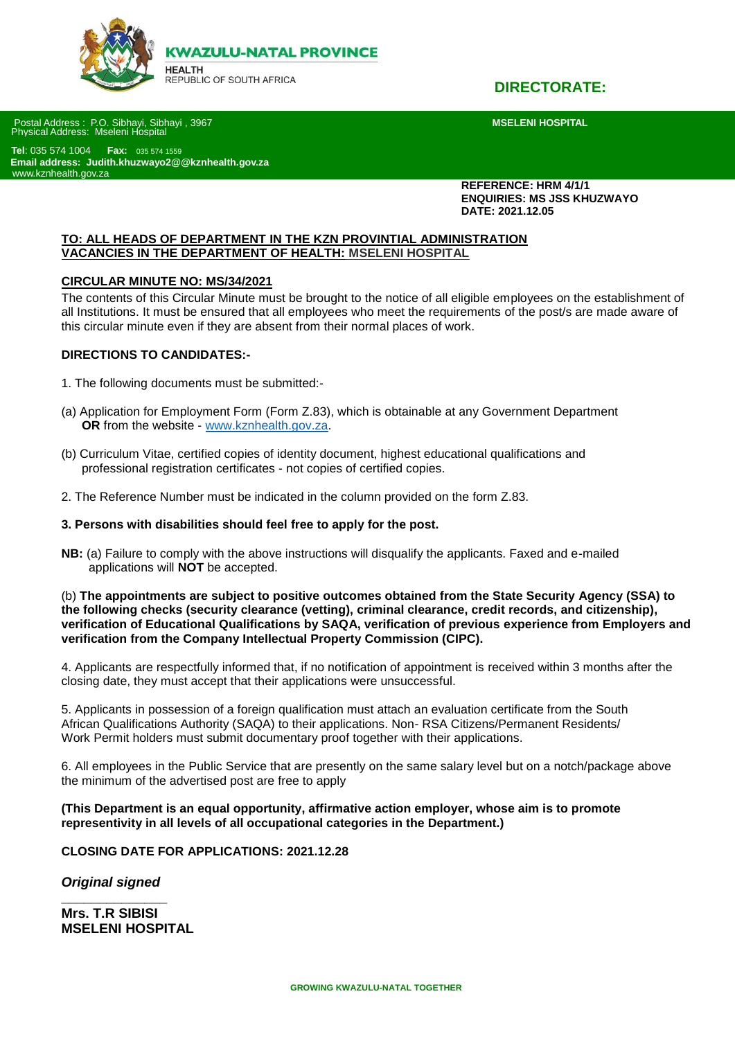

**DIRECTORATE:**

Postal Address : P.O. Sibhayi, Sibhayi , 3967 **MSELENI HOSPITAL** Physical Address: Mseleni Hospital

 **Tel**: 035 574 1004 **Fax:** 035 574 1559 **Email address: Judith.khuzwayo2@@kznhealth.gov.za S** [www.kznhealth.gov.za](http://www.kznhealth.gov.za/)

> **REFERENCE: HRM 4/1/1 ENQUIRIES: MS JSS KHUZWAYO DATE: 2021.12.05**

#### **TO: ALL HEADS OF DEPARTMENT IN THE KZN PROVINTIAL ADMINISTRATION VACANCIES IN THE DEPARTMENT OF HEALTH: MSELENI HOSPITAL**

#### **CIRCULAR MINUTE NO: MS/34/2021**

The contents of this Circular Minute must be brought to the notice of all eligible employees on the establishment of all Institutions. It must be ensured that all employees who meet the requirements of the post/s are made aware of this circular minute even if they are absent from their normal places of work.

#### **DIRECTIONS TO CANDIDATES:-**

- 1. The following documents must be submitted:-
- (a) Application for Employment Form (Form Z.83), which is obtainable at any Government Department  **OR** from the website - [www.kznhealth.gov.za.](http://www.kznhealth.gov.za/)
- (b) Curriculum Vitae, certified copies of identity document, highest educational qualifications and professional registration certificates - not copies of certified copies.
- 2. The Reference Number must be indicated in the column provided on the form Z.83.

#### **3. Persons with disabilities should feel free to apply for the post.**

**NB:** (a) Failure to comply with the above instructions will disqualify the applicants. Faxed and e-mailed applications will **NOT** be accepted.

(b) **The appointments are subject to positive outcomes obtained from the State Security Agency (SSA) to the following checks (security clearance (vetting), criminal clearance, credit records, and citizenship), verification of Educational Qualifications by SAQA, verification of previous experience from Employers and verification from the Company Intellectual Property Commission (CIPC).**

4. Applicants are respectfully informed that, if no notification of appointment is received within 3 months after the closing date, they must accept that their applications were unsuccessful.

5. Applicants in possession of a foreign qualification must attach an evaluation certificate from the South African Qualifications Authority (SAQA) to their applications. Non- RSA Citizens/Permanent Residents/ Work Permit holders must submit documentary proof together with their applications.

6. All employees in the Public Service that are presently on the same salary level but on a notch/package above the minimum of the advertised post are free to apply

**(This Department is an equal opportunity, affirmative action employer, whose aim is to promote representivity in all levels of all occupational categories in the Department.)**

**CLOSING DATE FOR APPLICATIONS: 2021.12.28**

*Original signed* **\_\_\_\_\_\_\_\_\_\_\_\_\_\_**

**Mrs. T.R SIBISI MSELENI HOSPITAL**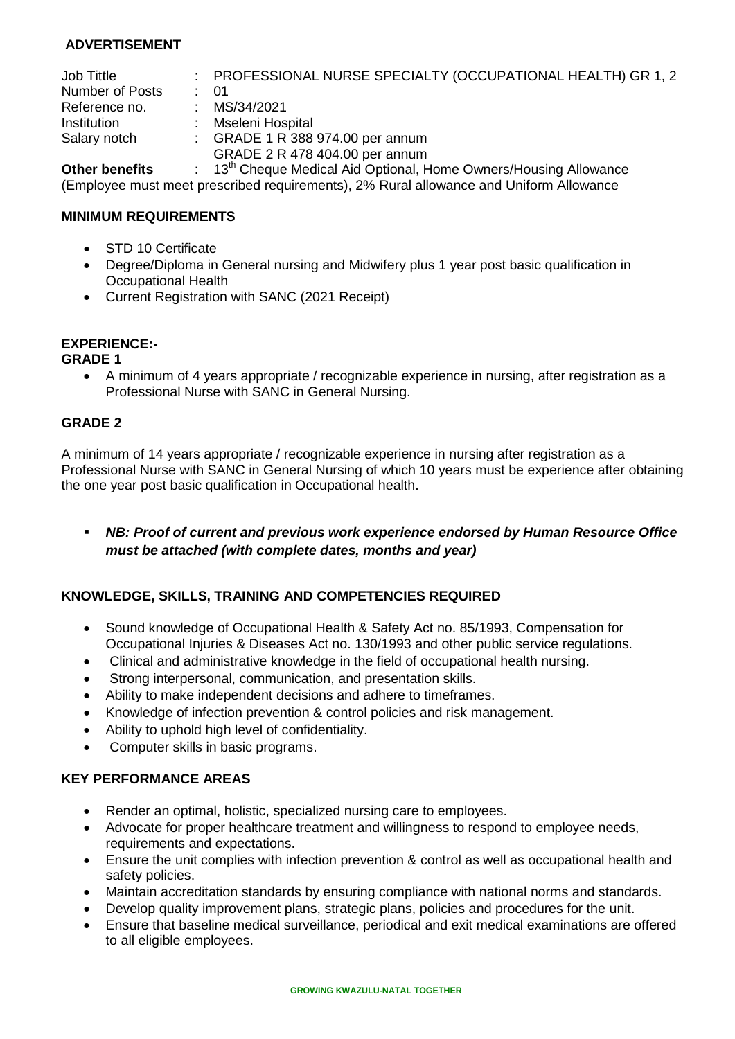# **ADVERTISEMENT**

| Job Tittle         | : PROFESSIONAL NURSE SPECIALTY (OCCUPATIONAL HEALTH) GR 1, 2                |
|--------------------|-----------------------------------------------------------------------------|
| Number of Posts    | : 01                                                                        |
| Reference no.      | : $MS/34/2021$                                                              |
| <b>Institution</b> | Mseleni Hospital                                                            |
| Salary notch       | $\therefore$ GRADE 1 R 388 974.00 per annum                                 |
|                    | GRADE 2 R 478 404.00 per annum                                              |
| Other homefits.    | 10 <sup>th</sup> Chesus Medical Aid Ontianal Hame Oumare Lleuging Allewanee |

**Other benefits** : 13<sup>th</sup> Cheque Medical Aid Optional, Home Owners/Housing Allowance (Employee must meet prescribed requirements), 2% Rural allowance and Uniform Allowance

## **MINIMUM REQUIREMENTS**

- STD 10 Certificate
- Degree/Diploma in General nursing and Midwifery plus 1 year post basic qualification in Occupational Health
- Current Registration with SANC (2021 Receipt)

# **EXPERIENCE:-**

#### **GRADE 1**

 A minimum of 4 years appropriate / recognizable experience in nursing, after registration as a Professional Nurse with SANC in General Nursing.

## **GRADE 2**

A minimum of 14 years appropriate / recognizable experience in nursing after registration as a Professional Nurse with SANC in General Nursing of which 10 years must be experience after obtaining the one year post basic qualification in Occupational health.

 *NB: Proof of current and previous work experience endorsed by Human Resource Office must be attached (with complete dates, months and year)*

## **KNOWLEDGE, SKILLS, TRAINING AND COMPETENCIES REQUIRED**

- Sound knowledge of Occupational Health & Safety Act no. 85/1993, Compensation for Occupational Injuries & Diseases Act no. 130/1993 and other public service regulations.
- Clinical and administrative knowledge in the field of occupational health nursing.
- Strong interpersonal, communication, and presentation skills.
- Ability to make independent decisions and adhere to timeframes.
- Knowledge of infection prevention & control policies and risk management.
- Ability to uphold high level of confidentiality.
- Computer skills in basic programs.

## **KEY PERFORMANCE AREAS**

- Render an optimal, holistic, specialized nursing care to employees.
- Advocate for proper healthcare treatment and willingness to respond to employee needs, requirements and expectations.
- Ensure the unit complies with infection prevention & control as well as occupational health and safety policies.
- Maintain accreditation standards by ensuring compliance with national norms and standards.
- Develop quality improvement plans, strategic plans, policies and procedures for the unit.
- Ensure that baseline medical surveillance, periodical and exit medical examinations are offered to all eligible employees.